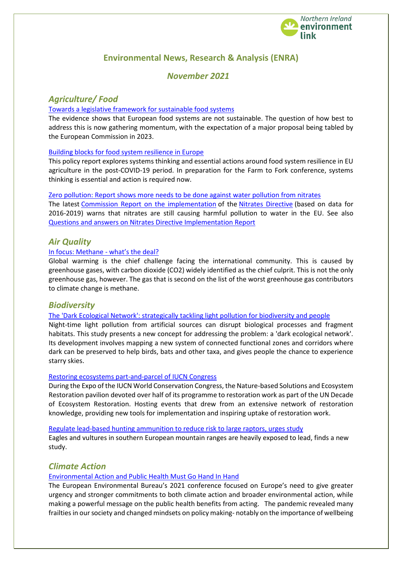

# **Environmental News, Research & Analysis (ENRA)**

# *November 2021*

# *Agriculture/ Food*

### [Towards a legislative framework for sustainable food systems](https://ieep.eu/publications/pathways-towards-a-legislative-framework-for-sustainable-food-systems-in-the-eu?utm_medium=email&utm_campaign=October%202021%20monthly%20newsletter&utm_content=October%202021%20monthly%20newsletter+CID_b85e5188b8e155c786baa4657f4215e6&utm_source=Email%20marketing%20software&utm_term=earn%20more%20here)

The evidence shows that European food systems are not sustainable. The question of how best to address this is now gathering momentum, with the expectation of a major proposal being tabled by the European Commission in 2023.

### [Building blocks for food system resilience in Europe](https://ieep.eu/publications/building-blocks-for-food-system-resilience-in-europe)

This policy report explores systems thinking and essential actions around food system resilience in EU agriculture in the post-COVID-19 period. In preparation for the Farm to Fork conference, systems thinking is essential and action is required now.

[Zero pollution: Report shows more needs to be done against water pollution from nitrates](https://ec.europa.eu/commission/presscorner/detail/en/IP_21_5109) The latest [Commission Report on the implementation](https://ec.europa.eu/environment/pdf/nitrates/implementation_nitrates_directive.pdf) of the [Nitrates Directive](https://eur-lex.europa.eu/legal-content/EN/TXT/?qid=1561542776070&uri=CELEX:01991L0676-20081211) (based on data for 2016-2019) warns that nitrates are still causing harmful pollution to water in the EU. See also [Questions and answers on Nitrates Directive Implementation Report](https://ec.europa.eu/commission/presscorner/detail/en/QANDA_21_5110)

# *Air Quality*

# [In focus: Methane -](https://ec.europa.eu/info/news/focus-methane-whats-deal-2021-oct-14_en) what's the deal?

Global warming is the chief challenge facing the international community. This is caused by greenhouse gases, with carbon dioxide (CO2) widely identified as the chief culprit. This is not the only greenhouse gas, however. The gas that is second on the list of the worst greenhouse gas contributors to climate change is methane.

# *Biodiversity*

[The 'Dark Ecological Network': strategically tackling light pollution for biodiversity and people](https://ec.europa.eu/environment/integration/research/newsalert/pdf/569na2_en-1317_grasping-darkness_the-dark-ecological-network_v2.pdf)

Night-time light pollution from artificial sources can disrupt biological processes and fragment habitats. This study presents a new concept for addressing the problem: a 'dark ecological network'. Its development involves mapping a new system of connected functional zones and corridors where dark can be preserved to help birds, bats and other taxa, and gives people the chance to experience starry skies.

### [Restoring ecosystems part-and-parcel of IUCN Congress](https://www.iucn.org/news/forests/202110/restoring-ecosystems-part-and-parcel-iucn-congress)

During the Expo of the IUCN World Conservation Congress, the Nature-based Solutions and Ecosystem Restoration pavilion devoted over half of its programme to restoration work as part of the UN Decade of Ecosystem Restoration. Hosting events that drew from an extensive network of restoration knowledge, providing new tools for implementation and inspiring uptake of restoration work.

[Regulate lead-based hunting ammunition to reduce risk to large raptors, urges study](https://ec.europa.eu/environment/integration/research/newsalert/pdf/568na2_en-regulate-lead-based-hunting-ammunition-to-reduce-risk-to-large-raptors.pdf)

Eagles and vultures in southern European mountain ranges are heavily exposed to lead, finds a new study.

# *Climate Action*

# [Environmental Action and Public Health Must Go Hand In Hand](https://meta.eeb.org/2021/10/14/environmental-action-and-public-health-must-go-hand-in-hand/)

The European Environmental Bureau's 2021 conference focused on Europe's need to give greater urgency and stronger commitments to both climate action and broader environmental action, while making a powerful message on the public health benefits from acting. The pandemic revealed many frailties in our society and changed mindsets on policy making- notably on the importance of wellbeing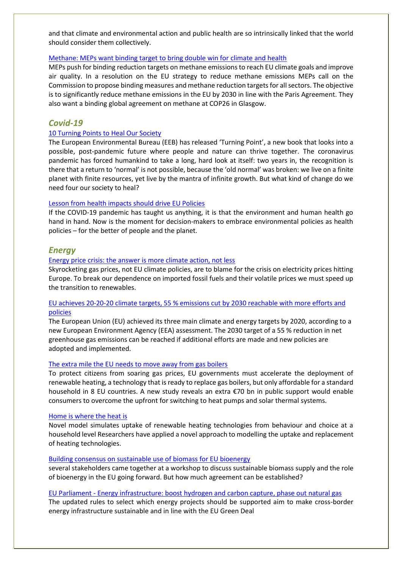and that climate and environmental action and public health are so intrinsically linked that the world should consider them collectively.

### [Methane: MEPs want binding target to bring double win for climate and health](https://www.europarl.europa.eu/news/en/press-room/20211014IPR14928/methane-meps-want-binding-target-to-bring-double-win-for-climate-and-health)

MEPs push for binding reduction targets on methane emissions to reach EU climate goals and improve air quality. In a resolution on the EU strategy to reduce methane emissions MEPs call on the Commission to propose binding measures and methane reduction targets for all sectors. The objective is to significantly reduce methane emissions in the EU by 2030 in line with the Paris Agreement. They also want a binding global agreement on methane at COP26 in Glasgow.

# *Covid-19*

### [10 Turning Points to Heal Our Society](https://meta.eeb.org/2021/10/07/10-turning-points-to-heal-our-society/)

The European Environmental Bureau (EEB) has released 'Turning Point', a new book that looks into a possible, post-pandemic future where people and nature can thrive together. The coronavirus pandemic has forced humankind to take a long, hard look at itself: two years in, the recognition is there that a return to 'normal' is not possible, because the 'old normal' was broken: we live on a finite planet with finite resources, yet live by the mantra of infinite growth. But what kind of change do we need four our society to heal?

### [Lesson from health impacts should drive EU Policies](https://meta.eeb.org/2021/10/07/lesson-from-health-impacts-should-drive-eu-policies/)

If the COVID-19 pandemic has taught us anything, it is that the environment and human health go hand in hand. Now is the moment for decision-makers to embrace environmental policies as health policies – for the better of people and the planet.

# *Energy*

### [Energy price crisis: the answer is more climate action, not less](https://meta.eeb.org/2021/10/21/energy-price-crisis-the-answer-is-more-climate-action-not-less/)

Skyrocketing gas prices, not EU climate policies, are to blame for the crisis on electricity prices hitting Europe. To break our dependence on imported fossil fuels and their volatile prices we must speed up the transition to renewables.

# [EU achieves 20-20-20 climate targets, 55 % emissions cut by 2030 reachable with more efforts and](https://www.eea.europa.eu/highlights/eu-achieves-20-20-20)  [policies](https://www.eea.europa.eu/highlights/eu-achieves-20-20-20)

The European Union (EU) achieved its three main climate and energy targets by 2020, according to a new European Environment Agency (EEA) assessment. The 2030 target of a 55 % reduction in net greenhouse gas emissions can be reached if additional efforts are made and new policies are adopted and implemented.

#### [The extra mile the EU needs to move away from gas boilers](https://meta.eeb.org/2021/10/21/the-extra-mile-the-eu-needs-to-move-away-from-gas-boilers/)

To protect citizens from soaring gas prices, EU governments must accelerate the deployment of renewable heating, a technology that is ready to replace gas boilers, but only affordable for a standard household in 8 EU countries. A new study reveals an extra €70 bn in public support would enable consumers to overcome the upfront for switching to heat pumps and solar thermal systems.

#### [Home is where the heat is](https://ec.europa.eu/environment/integration/research/newsalert/pdf/568na3_en-novel-model-simulates-uptake-of-renewable-heating-technologies.pdf)

Novel model simulates uptake of renewable heating technologies from behaviour and choice at a household level Researchers have applied a novel approach to modelling the uptake and replacement of heating technologies.

### [Building consensus on sustainable use of biomass for EU bioenergy](https://ieep.eu/news/building-consensus-on-sustainable-use-of-biomass-for-eu-bioenergy)

several stakeholders came together at a workshop to discuss sustainable biomass supply and the role of bioenergy in the EU going forward. But how much agreement can be established?

### EU Parliament - [Energy infrastructure: boost hydrogen and carbon capture, phase out natural gas](https://www.europarl.europa.eu/news/en/press-room/20210923IPR13404/energy-infrastructure-boost-hydrogen-and-carbon-capture-phase-out-natural-gas)

The updated rules to select which energy projects should be supported aim to make cross-border energy infrastructure sustainable and in line with the EU Green Deal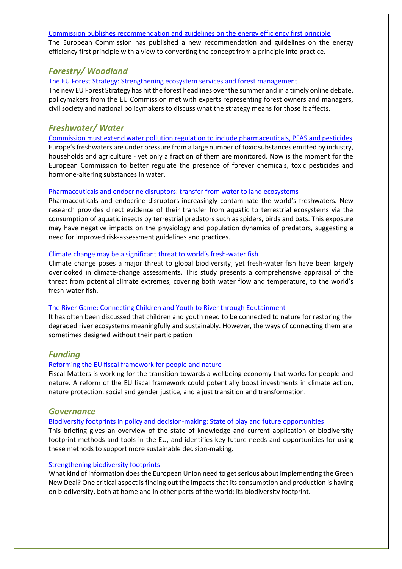#### [Commission publishes recommendation and guidelines on the energy efficiency first principle](https://ec.europa.eu/info/news/commission-publishes-recommendation-and-guidelines-energy-efficiency-first-principle-2021-sep-28_en)

The European Commission has published a new recommendation and guidelines on the energy efficiency first principle with a view to converting the concept from a principle into practice.

# *Forestry/ Woodland*

### [The EU Forest Strategy: Strengthening ecosystem services and forest management](https://www.iucn.org/news/europe/202110/eu-forest-strategy-strengthening-ecosystem-services-and-forest-management)

The new EU Forest Strategy has hit the forest headlines over the summer and in a timely online debate, policymakers from the EU Commission met with experts representing forest owners and managers, civil society and national policymakers to discuss what the strategy means for those it affects.

# *Freshwater/ Water*

[Commission must extend water pollution regulation to include pharmaceuticals, PFAS and](https://meta.eeb.org/2021/10/21/eu-commission-must-extend-water-pollution-regulation-to-include-pharmaceuticals-pfas-and-more-pesticides/) pesticides Europe's freshwaters are under pressure from a large number of toxic substances emitted by industry, households and agriculture - yet only a fraction of them are monitored. Now is the moment for the European Commission to better regulate the presence of forever chemicals, toxic pesticides and hormone-altering substances in water.

### [Pharmaceuticals and endocrine disruptors: transfer from water to land ecosystems](https://ec.europa.eu/environment/integration/research/newsalert/pdf/569na3_en-1323-aquatic-insects-transfer-pharmaceuticals-and-endocrine-disruptors_aquatic-to-terrestrial-ecosystems.pdf)

Pharmaceuticals and endocrine disruptors increasingly contaminate the world's freshwaters. New research provides direct evidence of their transfer from aquatic to terrestrial ecosystems via the consumption of aquatic insects by terrestrial predators such as spiders, birds and bats. This exposure may have negative impacts on the physiology and population dynamics of predators, suggesting a need for improved risk-assessment guidelines and practices.

### Climate change may be [a significant threat to world's fresh](https://ec.europa.eu/environment/integration/research/newsalert/pdf/568na1_en-climate-change-may-be-a-significant-threat-to-worlds-fresh-water-fish.pdf)-water fish

Climate change poses a major threat to global biodiversity, yet fresh-water fish have been largely overlooked in climate-change assessments. This study presents a comprehensive appraisal of the threat from potential climate extremes, covering both water flow and temperature, to the world's fresh-water fish.

#### [The River Game: Connecting Children and Youth to River through Edutainment](https://www.iucn.org/news/asia/202110/river-game-connecting-children-and-youth-river-through-edutainment)

It has often been discussed that children and youth need to be connected to nature for restoring the degraded river ecosystems meaningfully and sustainably. However, the ways of connecting them are sometimes designed without their participation

# *Funding*

### [Reforming the EU fiscal framework for people and nature](https://meta.eeb.org/2021/10/19/reforming-the-eu-fiscal-framework-for-people-and-nature/)

Fiscal Matters is working for the transition towards a wellbeing economy that works for people and nature. A reform of the EU fiscal framework could potentially boost investments in climate action, nature protection, social and gender justice, and a just transition and transformation.

### *Governance*

### Biodiversity footprints in [policy and decision-making: State of play and future opportunities](https://ieep.eu/publications/biodiversity-footprints-in-policy-and-decision-making-state-of-play-and-future-opportunities)

This briefing gives an overview of the state of knowledge and current application of biodiversity footprint methods and tools in the EU, and identifies key future needs and opportunities for using these methods to support more sustainable decision-making.

### [Strengthening biodiversity footprints](https://ieep.eu/news/strengthening-biodiversity-footprints)

What kind of information does the European Union need to get serious about implementing the Green New Deal? One critical aspect is finding out the impacts that its consumption and production is having on biodiversity, both at home and in other parts of the world: its biodiversity footprint.